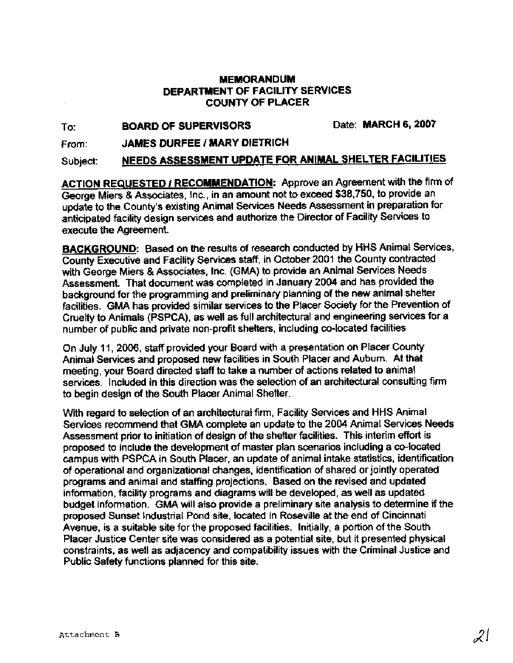# **MEMORANDUM DEPARTMENT OF FACILITY SERVICES COUNTY OF PLACER**

To: **BOARD OF SUPERVISORS** Date: **MARCH** 6,2007

From: **JAMES DURFEE** / **MARY DIETRICH** 

Subject: **NEEDS ASSESSMENT UPDATE FOR ANIMAL SHELTER FACILITIES** 

**ACTION REQUESTED I RECOMMENDATION:** Approve an Agreement with the firm of George Miers & Associates, Inc., in an amount not to exceed \$38,750, to provide an updace to the County's existing Animal Services Needs Assessment in preparation for anticipated facility design services and authorize the Director of Facility Services to execute the Agreement.

**BACKGROUND:** Based on the results of research conducted by HHS Animal Services, County Executive and Facility Services staff, in October 2001 the County contracted with George Miers & Associates, Inc. (GMA) to provide an Animal Services Needs Assessment. That document was completed in January 2004 and has provided the background for the programming and preliminary planning of the new animal shelter facilities. GMA has provided similar services to the Placer Society for the Prevention of Cruelty to Animals (PSPCA), as well as full architectural and engineering services for a number of public and private non-profit shelters, including co-located facilities

On July 11,2006, staff provided your Board with a presentation on Placer County Animal Services and proposed new facilities in South Placer and Auburn. At that meeting, your Board directed staff to take a number of actions related to animal services. Included in this direction was the selection of an architectural consulting firm to begin design of the South Placer Animal Shelter.

With regard to selection of an architectural firm, Facility Services and HHS Animal Services recommend that GMA complete an update to the 2004 Animal Services Needs Assessment prior to initiation of design of the shelter facilities. This interim effort is proposed to include the development of master plan scenarios including a co-located campus with PSPCA in South Placer, an update of animal intake statistics, identification of operational and organizational changes, identification of shared or jointly operated programs and animal and staffing projections. Based on the revised and updated information, facility programs and diagrams will be developed, as well as updated budget information. GMA will also provide a preliminary site analysis to determine if the proposed Sunset Industrial Pond site, located in Roseville at the end of Cincinnati Avenue, is a suitable site for the proposed facilities. Initially, a portion of the South Placer Justice Center site was considered as a potential site, but it presented physical constraints, as well as adjacency and compatibility issues with the Criminal Justice and Public Safety functions planned for this site.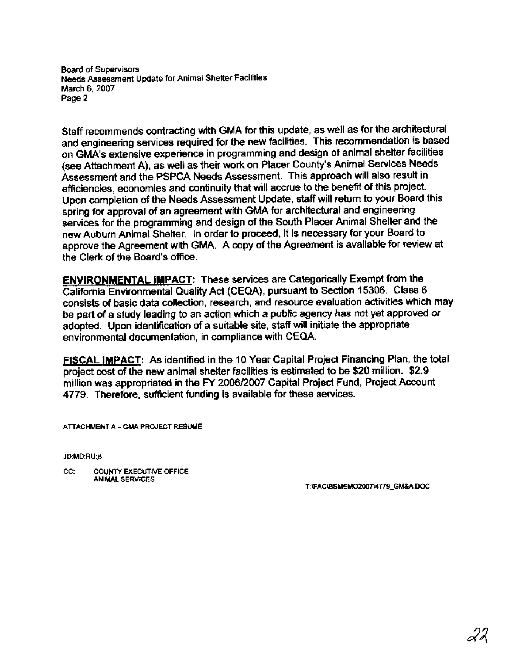**Board of Supervisors Needs Assessment Update for Animal Shelter Facilities March 6,2007 Page 2** 

Staff recommends contracting with GMA for this update, as well as for the architectural and engineering services required for the new facilities. This recommendation is based on GMA's extensive experience in programming and design of animal shelter facilities (see Attachment A), as well as their work on Placer County's Animal Services Needs Assessment and the PSPCA Needs Assessment. This approach will also result in efficiencies, economies and continuity that will accrue to the benefit of this project. Upon completion of the Needs Assessment Update, staff will return to your Board this spring for approval of an agreement with GMA for architectural and engineering services for the programming and design of the South Placer Animal Shelter and the new Auburn Animal Shelter. In order to proceed, it is necessary for your Board to approve the Agreement with GMA. A copy of the Agreement is available for review at the Clerk of the Board's office.

**ENVIRONMENTAL IMPACT:** These services are Categorically Exempt from the California Environmental Quality Act (CEQA), pursuant to Section 15306. Class 6 consists of basic data collection, research, and resource evaluation activities which may be part of a study leading to an action which a public agency has not yet approved or adopted. Upon identification of a suitable site, staff will initiate the appropriate environmental documentation, in compliance with CEQA.

**FISCAL IMPACT:** As identified in the 10 Year Capital Project Financing Plan, the total project cost of the new animal shelter facilities is estimated to be \$20 million. \$2.9 million was appropriated in the **FY** 2006/2007 Capital Project Fund, Project Account 4779. Therefore, sufficient funding is available for these services.

**AlTACHMENT A** - **GMA PROJECT RESUME** 

JD:MD:RU:js

CC: COUNTY EXECUTIVE OFFICE **ANIMAL SERVICES** 

T:\FAC\BSMEMO2007\4779\_GM&A.DOC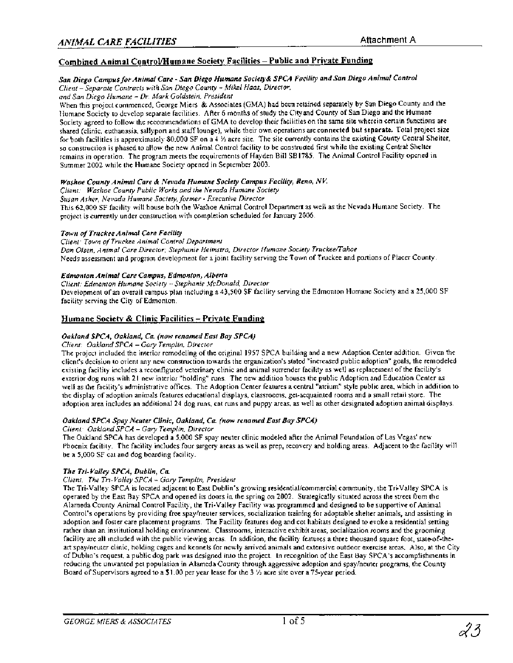# Combined Animal Control/Humane Society Facilities - Public and Private Funding

#### San Diego Campus for Animal Care - San Diego Humane Society& SPCA Facility and San Diego Animal Control

*Client* - *Separate Contracts with San Diego County* - *Mike1 Haas, Director,* 

*and Sun Diego Humane* - *Dr. Mark Goldstein, President* 

When this project commenced, George Miers & Associates (GMA) had been retained separately by San Diego County and the Humane Society to develop separate facilities. After *6* months of study the Cityand County of San Diego and the Humane Society agreed to follow the recommendations of GMA to develop their facilities on the same site wherein certain functions are shared (clinic, euthanasia, sallyport and staff lounge), while their own operations are connected but separate. Total project size for both facilities is approximately 80,000 SF on a 4 % acre site. The site currently contains the existing County Central Shelter, so construction is phased to allow the new Animal Control facility to be constructed first while the existing Central Shelter remains in operation. The program meets the requirements of Hayden Bill SB1785. The Animal Control Facility opened in Summer 2002 while the Humane Society opened in September 2003.

#### **Washoe County Animal Care** & **Nevada Humane Society Campus Facility, Reno, NK**

*Client: Washoe County Public Works and the Nevada Humane Society* 

*Susan Asher, Nevada Humane Society, former* - *Executive Director* 

This 62,000 SF facility will house both the Washoe Animal Control Departmed as well as the Nevada Humane Society. The project is currently under construction with completion scheduled for January 2006.

#### **Town of Truckee Animal Care Facility**

*Client: Town of Truckee Animal Control Department Dan Olsen. Animal Care Director; Stephanie Heimstra, Director Humane Society Truckee/Tahoe*  Needs assessment and program development for a joint facility serving the Town of Truckee and portions of Placer County.

#### **Edmonton Animal Care Campus, Edmonton, Alberta**

*Client: Edmonton Humane Society* - *Stephanie McDonald, Director* 

Development of an overall campus plan including a 43,500 SF facility serving the Edmonton Humane Society and a 25,000 SF facility serving the City of Edmonton.

### **Humane SocieW** & **Clinic Facilities** - **Private Funding**

#### **Oakland SPCA, Oakland, Ca (now renamed East** *Bay* **SPCA)**

#### *Client: Oakland SPCA* - *Gary Templin, Director*

The project included the interior remodeling of the original 1957 SPCA building and a new Adoption Center addition. Given the client's decision to orient any new construction towards the organization's stated "increased public adoption" goals, the remodeled existing facility includes a reconfigured veterinary clinic and animal surrender facility as well as replacement of the facility's exterior dog runs with 21 new interior "holding" runs. The new addition houses the public Adoption and Education Center as well as the facility's administrative offices. The Adoption Center features a central "atrium" style public area, which in addition to the display of adoption animals features educational displays, classrooms, get-acquainted rooms and a small retail store. The adoption area includes an additional 24 dog runs, cat runs and puppy areas, as well as other designated adoption animal displays.

#### **Oakland SPCA Spay Neuter Clinic, Oakland, Ca (now renamed East Bay SPCA)**

*Client: Oakland SPCA* - *Gary Templln, Director* 

The Oakland SPCA has developed a 5,000 SF spay neuter clinic modeled after the Animal Foundation of Las Vegas' new Phoenix facility. The facility includes four surgery areas as well as prep, recovery and holding areas. Adjacent to the facility will be a 5,000 SF cat and dog boarding facility.

#### **The Tri- Valley SPCA, Dublin, Ca**

#### *Client: The Tri- Valley SPCA* - *Gary Templin, President*

The Tri-Valley SPCA is located adjacent to East Dublin's growing residential/commercial community, the Tri-Valley SPCA is operated by the East Bay SPCA and opened its doors in the spring on 2002. Strategically situated across the street from the Alameda County Animal Control Facility, the Tri-Valley Facility was programmed and designed to be supportive of Animal Control's operations by providing free spaylneuter services, socialization training for adoptable shelter animals, and assisting in adoption and foster care placement programs. The Facility features dog and cot habitats designed to evoke a residential setting rather than an institutional holding environment. Classrooms, interactive exhibit areas, socialization rooms and the grooming facility are all included with the public viewing areas. In addition, the facility features a three thousand square foot, stateof-theart spaylneuter clinic, holding cages and kennels for newly arrived animals and extensive outdoor exercise areas. Also, at the City of Dublin's request, a public dog park was designed into the project. In recognition of the East Bay SPCA's accomplishments in reducing the unwanted pet population in Alameda County through aggressive adoption and spaylneuter programs, the County Board of Supervisors agreed to a \$1.00 per year lease for the **3** % acre site over a 75-year period.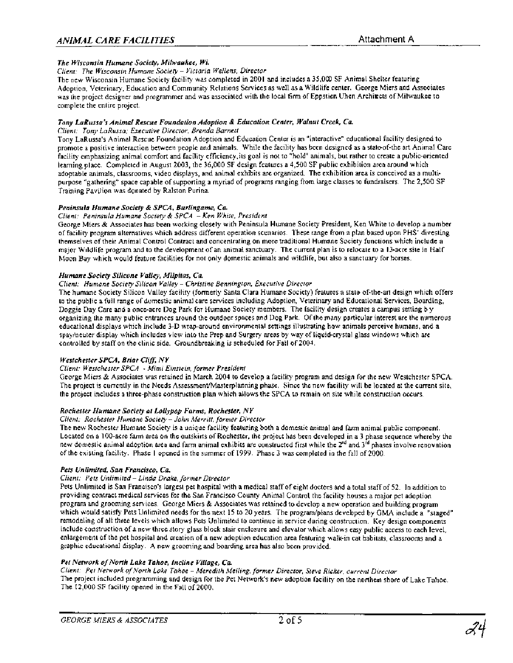# *ANIMAL CARE FACILITIES* Attachment *A*

#### *The Wisconsin Humane Society, Milwaukee, Wi.*

#### *Client: The Wisconsin Humane Society* - *Victoria Wellens, Director*

The new Wisconsin Humane Society facility was completed in 2001 and includes a 35,000 SF Animal Shelter featuring Adoption, Veterinary, Education and Community Relations Services as well as a Wildlife center. George Miers and Associates was the project designer and programmer and was associated with the local firm of Eppstien Uhen Archiects of Milwaukee to complete the entire project.

#### *Tony LaRusso's Animal Rescue Foundation Adoption* & *Education Center, Walnut Creek, Ca.*

#### *Client Tony LaRussa; Executive Director, Brenda Barnett*

Tony LaRussa's Animal Rescue Foundation Adoption and Education Center is an "interactive" educational facility designed to promote a positive interaction between people and animals. While the facility has been designed as a stateof-the art Animal Care facility emphasizing animal comfort and facility efficiency,its goal is not to "hold" animals, but rather to create a public-oriented learning place. Completed in August 2003, the 36,000 SF design features a 4,500 SF public exhibition area around which adoptable animals, classrooms, video displays, and animal exhibits are organized. The exhibition area is conceived as a multipurpose "gathering" space capable of supporting a myriad of programs ranging from large classes to fundraisers. The 2,500 SF Training Pavilion was donated by Ralston Purina.

#### *Peninsula Humane Society* & *SPCA, Burlingame, Ca.*

#### *Client: Peninsula Humane Society* & *SPCA -Ken White, President*

George Miers & Associates has been working closely with Peninsula Humane Society President, Ken White to develop a number of facility program alternatives which address different operation scenarios. These range from a plan based upon PHs' divesting themselves of their Animal Control Contract and concentrating on more traditional Humane Society functions which include a major Wildlife program and to the development of an animal sanctuary. The current plan is to relocate to a 13-acre site in Half Moon Bay which would feature facilities for not only domestic animals and wildlife, but also a sanctuary for horses.

#### *Humane Society Silicone Valley, Milpitas, Ca.*

#### *Client: Humane Society Silicon Valley* - *Christine Bennington, Executive Director*

The humane Society Silicon Valley facility (formerly Santa Clara Humane Society) features a state of-the-art design which offers to the public a full range of domestic animal care services including Adoption, Veterinary and Educational Services, Boarding, Doggie Day Care and a once-acre Dog Park for Humane Society members. The facility design creates a campus setting b y organizing the many public entrances around the outdoor spaces and Dog Park. Of the many particular interest are the numerous educational displays which include 3-D wrap-around environmental settings illustrating how animals perceive humans, and a spayineuter display which includes view into the Prep and Surgery areas by way of liquid-crystal glass windows which are controlled by staff on the clinic side. Groundbreaking is scheduled for Fall of 2004.

#### *Westchester SPCA, Briar Cli/f, NY*

#### *Client: Wesrchester SPCA* - *Mimi Einstein. former President*

George Miers & Associates was retained in March 2004 to develop a facility program and design for the new Westchester SPCA. The project is currently in the Needs **Assessment/Masterplanning** phase. Since the new facility will be located at the current site, the project includes a three-phase construction plan which allows the SPCA to remain on site while construction occurs.

#### *Rochester Humane Society at Lollypop Farm, Rochester, NY*

#### *Client: Rochester Humane Sociew -John Merritt, former Director*

The new Rochester Humane Society is a unique facility featuring both a domestic animal and farm animal public component. Located on a 100-acre farm area on the outskirts of Rochester, the project has been developed in a 3 phase sequence whereby the new domestic animal adoption area and farm animal exhibits are constructed first while the  $2^{nd}$  and  $3^{rd}$  phases involve renovation of the existing facility. Phase 1 opened in the summer of 1999. Phase 3 was completed in the fall of 2000.

#### *Pets Unlimited, Son Francisco, Ca.*

# *Client: Pets Unlimited* - *Linda Drake, former Director*

Pets Unlimited is San Francisco's largest pet hospital with a medical staff of eight doctors and a total staff of 52. In addition to providing contract medical services for the San Francisco County Animal Control, the facility houses a major pet adoption program and grooming services. George Miers & Associates was retained to develop a new operation and building program which would satisfy Pets Unlimited needs for the next 15 to 20 years. The program/plans developed by GMA include a "staged" remodeling of all three levels which allows Pets Unlimited to continue in service during construction. Key design components include construction of a new three story glass block stair enclosure and elevator which allows ersy public access to each level, enlargement of the pet hospital and creation of a new adoption education area featuring walk-in cat habitats, classrooms and a graphic educational display. A new grooming and boarding area has also been provided.

### Pet Network of North Lake Tahoe, Incline Village, Ca.

*Client: Pet Network of North Lake Tahoe* - *Meredith Meiling, former Director, Steve Ricker, current Director*  The project included programming and design for the Pet Network's new adoption facility on the northern shore of Lake Tahoe. The 12,000 SF facility opened in the Fall of 2000.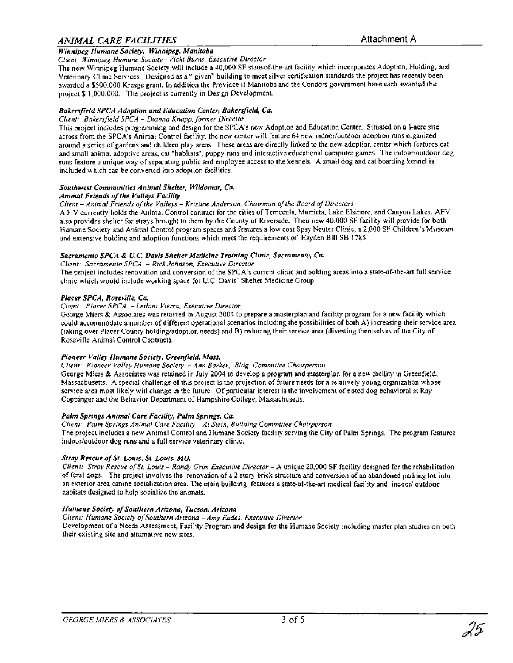# *ANIMAL CARE FACILITIES* Attachment A

# *Winni~err* . - *Humane Societv. Winnipep, Manitoba* - - *Client: Winnipeg Humane Society* - *Vicki Burns, Executive Director*

The new Winnipeg Humane Society will include a 40,000 SF stateof-the-art facility which incorporates Adoption, Holding, and Veterinary Clinic Services. Designed as a " given" building to meet silver certification standards the project has recently been awarded a \$500,000 Kresge grant. In addition the Province if Manitoba and the Condors government have each awarded the project \$ 1,000,000. The project is currently in Design Development.

#### *Bakersfield SPCA Adoption and Education Center, Bakersfield, Ca.*

#### *Client: Bakersfield SPCA* - *Dianna Knapp, former Director*

This project includes programming and design for the SPCA's new Adoption and Education Center. Situated on a 1-acre site across from the SPCA's Animal Control facility, the new center will feature 64 new indoor/outdoor adoption runs organized around a series of gardens and children play areas. These areas are directly linked to the new adoption center which features cat and small animal adoptive areas, cat "habitats", puppy runs and interactive educational computer games. The indoor/outdoor dog runs feature a unique way of separating public and employee access to the kennels. A small dog and cat boarding kennel is included which can be converted into adoption facilities.

#### *Southwest Communities Animal Shelter, Wildomar, Ca.*

#### *Animal Friends of the Valleys Facility*

#### *Client* - *Animal Friends of the Valleys* - *Kristine Anderson, Chairman of the Board of Directors*

A.F.V currently holds the Animal Control contract for the cities of Temecula, Murrieta, Lake Elsinore, and Canyon Lakes. AFV also provides shelter for strays brought to them by the County of Riverside. Their new 40,000 SF facility will provide for both Humane Society and Animal Control program spaces and features a low cost Spay Neuter Clinic, a 2,000 SF Children's Museum and extensive holding and adoption functions which meet the requirements of Hayden Bill SB 1785.

#### *Sacramento SPCA* & **U.** *C. Davis Shelter Medicine Training Clinic, Sacramento, Ca*

*Client: Sacramento SPCA* - *Rick Johnson, Executive Director* 

The project includes renovation and conversion of the SPCA's current clinic and holding areas into a state-of-the-art full service clinic which would include working space for U.C. Davis' Shelter Medicine Group.

#### *Placer SPCA, Roseville, Ca.*

#### *Client: Placer SPCA* - *Leilani Vierra, Executive Director*

George Miers & Associates was retained in August 2004 to prepare a masterplan and facility program for a new facility which could accommodate a number of different operational scenarios including the possibilities of both A) increasing their service area (taking over Placer County holdingladoption needs) and B) reducing their service area (divesting themselves of the City of Roseville Animal Control Contract).

#### *Pioneer Valley Humane Society, Greenjield, Mass.*

*Client: Pioneer Valley Humane Society* - *Ann Barker, Bldg. Committee Chairperson* 

George Miers & Associates was retained in July 2004 to develop a program and masterplan for a new facility in Greenfield, Massachusetts. A special challenge of this project is the projection of future needs for a relatively young orgnization whose service area most likely will change in the future. Of particular interest is the involvement of noted dog behavioralist Ray Coppinger and the Behavior Department of Hampshire College, Massachusetts.

# *Palm Springs Animal Care Facility, Palm Springs, Ca*

*Client: Palm Springs Animal Care Facility* - *A1 Stein, Building Committee Chairperson*  The project includes a new Animal Control and Humane Society facility serving the City of Palm Springs. The program features indoor/outdoor dog runs and a full service veterinary clinic.

#### *Stray Rescue of St. Louis, St. Louis, MO.*

*Client: Stray Rescue oJSt. Louis* - *Randy Grim Executive Director* - A unique 20,000 SF facility designed for the rehabilitation of feral dogs. The project involves the renovation of a 2 story brick structure and conversion of an abandoned parking lot into an exterior area canine socialization area. The main building features a statsof-the-art medical facility and indoor/ outdoor habitats designed to help socialize the animals.

#### *Humane Society of Southern Arizona, Tucson, Arizona*

*Client: Humane Society of Southern Arizona - Amy Eades, Executive Director* 

Development of a Needs Assessment, Facility Program and design for the Humane Society including master plan studies on both their existing site and alternative new sites.

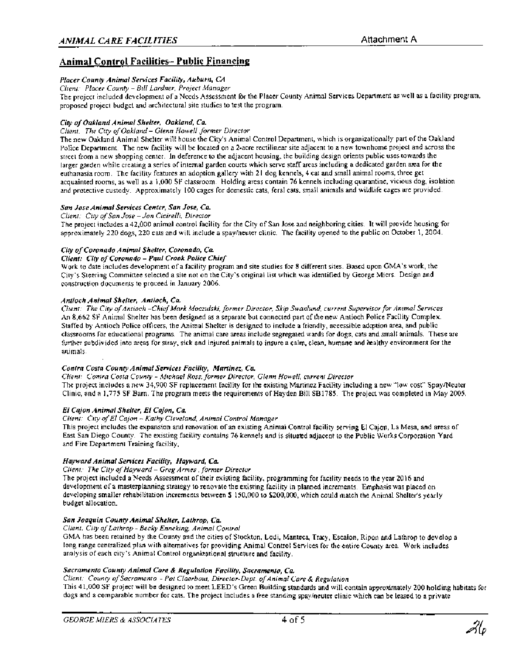# **Animal Control Facilities- Public Financing**

#### *Placer County Animal Services Facility, Auburn, CA*

*Client: Placer County - Bill Lardner, Project Manager* 

The project included development of a Needs Assessment for the Placer County Animal Services Department as well as a facility program, proposed project budget and architectural site studies to test the program.

#### *City of Oakland Animal Shelter, Oakland, Ca.*

#### *Client: The City of Oakland* - *Glenn Howell, former Director*

The new Oakland Animal Shelter will house the City's Animal Control Department, which is organizationally part of the Oakland Police Department. The new facility will be located on a 2-acre rectilinear site adjacent to a new townhome project and across the street from a new shopping center. In deference to the adjacent housing, the building design orients public uses towards the larger garden while creating a series of internal garden courts which serve staff areas including a dedicated garden area for the euthanasia room. The facility features an adoption gallery with 21 dog kennels, 4 cat and small animal rooms, three get acquainted rooms, as well as a 1,000 SF classroom. Holding areas contain 76 kennels including quarantine, vicious dog, isolation and protective custody. Approximately 100 cages for domestic cats, feral cats, small animals and wildlife cages are provided.

#### *San Jose Animal Services Center, San Jose, Ca.*

### *Client: City of Sun Jose -Jon Cicirelli, Director*

The project includes a 42,000 animal control facility for the City of San Jose and neighboring cities. It will provide housing for approximately 220 dogs, 220 cats and will include a spaylneuter clinic. The facility opened to the public on October 1, 2004.

#### *City of Coronado Animal Shelter, Coronado, Ca*

*Client: City of Coronado -Paul Crook Police Chief* 

Work to date includes development of a facility program and site studies for 8 different sites. Based upon GMA's work, the City's Steering Committee selected a site not on the City's original list which was identified by George Miers. Design and construction documents to proceed in January 2006.

#### *Antioch Animal Shelter, Antioch, Ca.*

*Client: The City ofAntioch -Chief Mark Moczulski, former Director, Skip Swanlund, current Supervisor for Animal Services*  An 8,662 SF Animal Shelter has been designed as a separate but connected part of the new Antioch Police Facility Complex. Staffed by Antioch Police officers, the Animal Shelter is designed to include a friendly, accessible adcption area, and public classrooms for educational programs. The animal care areas include segregated wards for dogs, cats and small animals. These are further subdivided into areas for stray, sick and injured animals to insure a calm, clean, humane and kalthy environment for the animals.

#### *Contra Costa County Animal Services Facility, Martinez, Ca.*

*Client: Contra Costa County* - *Michael Ross, former Director, Glenn Howell, current Director* 

The project includes a new 34,900 SF replacement facility for the existing Martinez Facility including a new "low cost" Spaymeuter Clinic, and a 1,775 SF Barn. The program meets the requirements of Hayden Bill SB1785. The project was completed in May 2005.

#### *El Cajon Animal Shelter, El Cajon, Ca.*

#### *Client: City of El Cajon -Kathy Cleveland, Animal Control Manager*

This project includes the expansion and renovation of an existing Animal Control facility serving El Cajon, La Mesa, and areas of East San Diego County. The existing facility contains 76 kennels and is situaed adjacent to the Public Works Corporation Yard and Fire Department Training facility.

#### *Hayward Animal Services Facility, Hayward, Ca.*

*Client: The City of Hayward* - *Greg Armes ,former Director* 

The project included a Needs Assessment of their existing facility, programming for facility needs to the year 2016 and development of a masterplanning strategy to renovate the existing facility in planned increments. Emphasis was placed on developing smaller rehabilitation increments between \$ 150,000 to \$200,000, which could match the Animal Shelter's yearly budget allocation.

#### *San Joaquin County Animal Shelter, Lathrop, Ca.*

# *Client: City of Lathrop* - *Becky Enneking, Animal Control*

GMA has been retained by the County and the cities of Stockton, Lodi, Manteca, Trxy, Escalon, Ripon and Lathrop to develop a long range centralized plan with alternatives for providing Animal Control Services for the entire County area. Work includes analysis of each city's Animal Control organizational structure and facility.

#### *Sacramento County Animal Care* & *Regulation Facility, Sacramento, Ca.*

*Client: County of Sacramento* - *Pat Claerbout, Director-Dept. ofAnimal Care* & *Regulation* 

This 41,000 SF project will be designed to meet LEED's Green Building standards and will contain approximately 200 holding habitats for dogs and a comparable number for cats. The project includes a free standing spaylneuter clinic which can be leased to a private

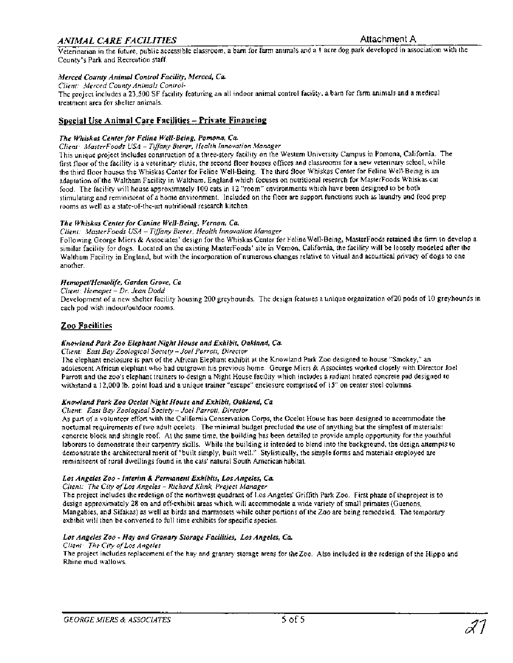# *ANIMAL CARE FACILITIES* Attachment *A*

Veterinarian in the future, public accessible classroom, a barn for farm animals and a 1 acre dog park developed in association with the County's Park and Recreation staff.

#### **Merced County Animal Control Facility, Merced, Ca**

*Client: Merced County Animals Control-*

The project includes a 23,500 SF facility featuring an all indoor animal control facility, a barn for farm animals and a medical treatment area for shelter animals.

#### **Special Use Animal Care Facilities - Private Financing**

#### The Whiskas Center for Feline Well-Being, Pomona, Ca.

*Client: MasterFoods USA* - *T~ffany Bierer, Health Innovation Manager*  This unique project includes construction of a three-story facility on the Western University Campus in Pomona, California. The first floor of the facility is a veterinary clinic, the second floor houses offices and classrooms for a new veterinary schol, while the third floor houses the Whiskas Center for Feline Well-Being. The third floor Whiskas Center for Feline Well-Being is an adaptation of the Waltham Facility in Waltham, England which focuses on nutritional research for MasterFoods Whiskas cat food. The facility will house approximately 100 cats in 12 "room" environments which have been designed to be both stimulating and reminiscent of a home environment. Included on the floor are support functions such as laundry and food prep rooms as well as a state-of-the-art nutritional research kitchen.

#### **The Whiskas Center for Canine Well-Being, Vernon, Ca.**

*Client: MasterFoods USA* - *Tiffany Bierer, Health Innovation Manager* 

Following George Miers & Associates' design for the Whiskas Center for Feline Well-Being, MasterFoods retained the firm to develop a similar facility for dogs. Located on the existing MasterFoods' site in Vernon, California, the facility will be loosely modeled after the Waltham Facility in England, but with the incorporation of numerous changes relative to visual and acoustical privacy of dogs to one another.

#### Hemopet/Hemolife, Garden Grove, Ca

*Client: Hemopet* - *Dr. Jean Dodd* 

Development of a new shelter facility housing 200 greyhounds. The design features a unique organization of20 pods of 10 greyhounds in each pod with indoorfoutdoor rooms.

#### **Zoo Facilities**

#### **Knowland Park Zoo Elephant Night House and Exhibit, Oakland, Ca**

#### *Client: East Bay Zoological Society* - *Joel Parrott. Director*

The elephant enclosure is part of the African Elephant exhibit at the Knowland Park Zoo designed to house "Smokey," an adolescent African elephant who had outgrown his previous home. George Miers & Associates worked closely with Director Joel Parrott and the zoo's elephant trainers to design a Night House facility which includes a radiant heated concrete pad designed to withstand a 12,000 Ib. point load and a unique trainer "escape" enclosure comprised of 15" on center steel columns.

#### **Knowland Park Zoo Ocelot Night House and Exhibit, Oakland, Ca**

#### *Cllent: East Bay Zoological Society* - *Joel Parrott, Director*

As part of a volunteer effort with the California Conservation Corps, the Ocelot House has been designed to accommodate the nocturnal requirements of two adult ocelots. The minimal budget precluded he use of anything but the simplest of materials: concrete block and shingle roof. At the same time, the building has been detailed to provide ample opportunity for the youthful laborers to demonstrate their carpentry skills. While the building is intended to blend into the background, the design attempts to demonstrate the architectural merit of "built simply, built well." Stylistically, the simple forms and materials employed are reminiscent of rural dwellings found in the cats' natural South American habitat.

#### **Los Angeles Zoo** - **Interim** & **Permanent Exhibits, Los Angeles, Ca.**

#### *Client: The Cify of Los Angeles* - *Richard Klink, Project Manager*

The project includes the redesign of the northwest quadrant of Los Angeles' Griffith Park Zoo. First phase of theproject is to design approximately 28 on and off-exhibit areas which will accommodate a wide variety of small primates (Guenons, Mangabies, and Sifakas) as well as birds and marmosets while other portions of the Zoo are being remodeled. The temporary exhibit will then be converted to full time exhibits for specific species.

#### **Los Angeles Zoo** - **Hay and Granary Storage Facilities, Los Angeles, Ca**

*Client: The City ofLos Angeles* 

The project includes replacement of the hay and granary storage areas for thezoo. Also included is the redesign of the Hippo and Rhino mud wallows.